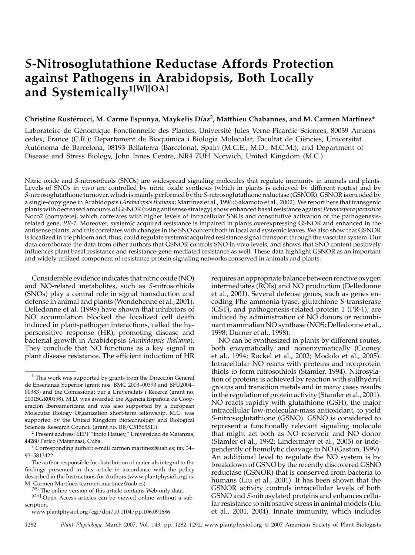# S-Nitrosoglutathione Reductase Affords Protection against Pathogens in Arabidopsis, Both Locally and Systemically<sup>1[W][OA]</sup>

## Christine Rustérucci, M. Carme Espunya, Maykelis Díaz<sup>2</sup>, Matthieu Chabannes, and M. Carmen Martínez\*

Laboratoire de Génomique Fonctionnelle des Plantes, Université Jules Verne-Picardie Sciences, 80039 Amiens cedex, France (C.R.); Departament de Bioquímica i Biologia Molecular, Facultat de Ciències, Universitat Autònoma de Barcelona, 08193 Bellaterra (Barcelona), Spain (M.C.E., M.D., M.C.M.); and Department of Disease and Stress Biology, John Innes Centre, NR4 7UH Norwich, United Kingdom (M.C.)

Nitric oxide and S-nitrosothiols (SNOs) are widespread signaling molecules that regulate immunity in animals and plants. Levels of SNOs in vivo are controlled by nitric oxide synthesis (which in plants is achieved by different routes) and by S-nitrosoglutathione turnover, which is mainly performed by the S-nitrosoglutathione reductase (GSNOR). GSNOR is encoded by a single-copy gene in Arabidopsis (Arabidopsis thaliana; Martínez et al., 1996; Sakamoto et al., 2002). We report here that transgenic plants with decreased amounts of GSNOR (using antisense strategy) show enhanced basal resistance against Peronospora parasitica Noco2 (oomycete), which correlates with higher levels of intracellular SNOs and constitutive activation of the pathogenesisrelated gene, PR-1. Moreover, systemic acquired resistance is impaired in plants overexpressing GSNOR and enhanced in the antisense plants, and this correlates with changes in the SNO content both in local and systemic leaves. We also show that GSNOR is localized in the phloem and, thus, could regulate systemic acquired resistance signal transport through the vascular system. Our data corroborate the data from other authors that GSNOR controls SNO in vivo levels, and shows that SNO content positively influences plant basal resistance and resistance-gene-mediated resistance as well. These data highlight GSNOR as an important and widely utilized component of resistance protein signaling networks conserved in animals and plants.

Considerable evidence indicates that nitric oxide (NO) and NO-related metabolites, such as S-nitrosothiols (SNOs) play a central role in signal transduction and defense in animal and plants (Wendehenne et al., 2001). Delledonne et al. (1998) have shown that inhibitors of NO accumulation blocked the localized cell death induced in plant-pathogen interactions, called the hypersensitive response (HR), promoting disease and bacterial growth in Arabidopsis (Arabidopsis thaliana). They conclude that NO functions as a key signal in plant disease resistance. The efficient induction of HR requires an appropriate balance between reactive oxygen intermediates (ROIs) and NO production (Delledonne et al., 2001). Several defense genes, such as genes encoding Phe ammonia-lyase, glutathione S-transferase (GST), and pathogenesis-related protein 1 (PR-1), are induced by administration of NO donors or recombinant mammalian NO synthase (NOS; Delledonne et al., 1998; Durner et al., 1998).

NO can be synthesized in plants by different routes, both enzymatically and nonenzymatically (Cooney et al., 1994; Rockel et al., 2002; Modolo et al., 2005). Intracellular NO reacts with proteins and nonprotein thiols to form nitrosothiols (Stamler, 1994). Nitrosylation of proteins is achieved by reaction with sulfhydryl groups and transition metals and in many cases results in the regulation of protein activity (Stamler et al., 2001). NO reacts rapidly with glutathione (GSH), the major intracellular low-molecular-mass antioxidant, to yield S-nitrosoglutathione (GSNO). GSNO is considered to represent a functionally relevant signaling molecule that might act both as NO reservoir and NO donor (Stamler et al., 1992; Lindermayr et al., 2005) or independently of homolytic cleavage to NO (Gaston, 1999). An additional level to regulate the NO system is by breakdown of GSNO by the recently discovered GSNO reductase (GSNOR) that is conserved from bacteria to humans (Liu et al., 2001). It has been shown that the GSNOR activity controls intracellular levels of both GSNO and S-nitrosylated proteins and enhances cellular resistance to nitrosative stress in animal models (Liu et al., 2001, 2004). Innate immunity, which includes

1282 Plant Physiology, March 2007, Vol. 143, pp. 1282–1292, www.plantphysiol.org © 2007 American Society of Plant Biologists

 $1$  This work was supported by grants from the Dirección General de Enseñanza Superior (grant nos. BMC 2003-00393 and BFU2004-00383) and the Comissionat per a Universitats i Recerca (grant no. 2001SGR00198). M.D. was awarded the Agencia Española de Cooperación Iberoamericana and was also supported by a European Molecular Biology Organization short-term fellowship. M.C. was supported by the United Kingdom Biotechnology and Biological Sciences Research Council (grant no. BB/C51565511).<br><sup>2</sup> Present address: EEPF "Indio Hatuey," Universidad de Matanzas,

<sup>44280</sup> Perico (Matanzas), Cuba.

<sup>\*</sup> Corresponding author; e-mail carmen.martinez@uab.es; fax 34– 93–5813422.

The author responsible for distribution of materials integral to the findings presented in this article in accordance with the policy described in the Instructions for Authors (www.plantphysiol.org) is: M. Carmen Martínez (carmen.martinez@uab.es).

<sup>[</sup>W] The online version of this article contains Web-only data.

<sup>[</sup>OA] Open Access articles can be viewed online without a subscription.

www.plantphysiol.org/cgi/doi/10.1104/pp.106.091686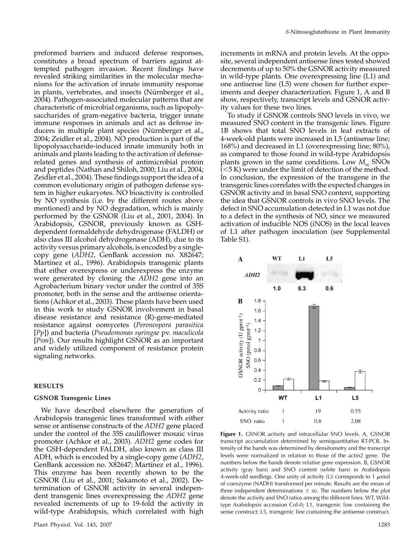preformed barriers and induced defense responses, constitutes a broad spectrum of barriers against attempted pathogen invasion. Recent findings have revealed striking similarities in the molecular mechanisms for the activation of innate immunity response in plants, vertebrates, and insects (Nürnberger et al., 2004). Pathogen-associated molecular patterns that are characteristic of microbial organisms, such as lipopolysaccharides of gram-negative bacteria, trigger innate immune responses in animals and act as defense inducers in multiple plant species (Nürnberger et al., 2004; Zeidler et al., 2004). NO production is part of the lipopolysaccharide-induced innate immunity both in animals and plants leading to the activation of defenserelated genes and synthesis of antimicrobial protein and peptides (Nathan and Shiloh, 2000; Liu et al., 2004; Zeidler et al., 2004). These findings support the idea of a common evolutionary origin of pathogen defense system in higher eukaryotes. NO bioactivity is controlled by NO synthesis (i.e. by the different routes above mentioned) and by NO degradation, which is mainly performed by the GSNOR (Liu et al., 2001, 2004). In Arabidopsis, GSNOR, previously known as GSHdependent formaldehyde dehydrogenase (FALDH) or also class III alcohol dehydrogenase (ADH), due to its activity versus primary alcohols, is encoded by a singlecopy gene (ADH2, GenBank accession no. X82647; Martínez et al., 1996). Arabidopsis transgenic plants that either overexpress or underexpress the enzyme were generated by cloning the ADH2 gene into an Agrobacterium binary vector under the control of 35S promoter, both in the sense and the antisense orientations (Achkor et al., 2003). These plants have been used in this work to study GSNOR involvement in basal disease resistance and resistance (R)-gene-mediated resistance against oomycetes (Peronospora parasitica [Pp]) and bacteria (Pseudomonas syringae pv. maculicola [Psm]). Our results highlight GSNOR as an important and widely utilized component of resistance protein signaling networks.

### RESULTS

## GSNOR Transgenic Lines

We have described elsewhere the generation of Arabidopsis transgenic lines transformed with either sense or antisense constructs of the ADH2 gene placed under the control of the 35S cauliflower mosaic virus promoter (Achkor et al., 2003). ADH2 gene codes for the GSH-dependent FALDH, also known as class III ADH, which is encoded by a single-copy gene (ADH2, GenBank accession no. X82647; Martínez et al., 1996). This enzyme has been recently shown to be the GSNOR (Liu et al., 2001; Sakamoto et al., 2002). Determination of GSNOR activity in several independent transgenic lines overexpressing the ADH2 gene revealed increments of up to 19-fold the activity in wild-type Arabidopsis, which correlated with high

increments in mRNA and protein levels. At the opposite, several independent antisense lines tested showed decrements of up to 50% the GSNOR activity measured in wild-type plants. One overexpressing line (L1) and one antisense line (L5) were chosen for further experiments and deeper characterization. Figure 1, A and B show, respectively, transcript levels and GSNOR activity values for these two lines.

To study if GSNOR controls SNO levels in vivo, we measured SNO content in the transgenic lines. Figure 1B shows that total SNO levels in leaf extracts of 4-week-old plants were increased in L5 (antisense line; 168%) and decreased in L1 (overexpressing line; 80%), as compared to those found in wild-type Arabidopsis plants grown in the same conditions. Low  $M_{\rm w}$  SNOs  $(<5 K)$  were under the limit of detection of the method. In conclusion, the expression of the transgene in the transgenic lines correlates with the expected changes in GSNOR activity and in basal SNO content, supporting the idea that GSNOR controls in vivo SNO levels. The defect in SNO accumulation detected in L1 was not due to a defect in the synthesis of NO, since we measured activation of inducible NOS (iNOS) in the local leaves of L1 after pathogen inoculation (see Supplemental Table S1).



Figure 1. GSNOR activity and intracellular SNO levels. A, GSNOR transcript accumulation determined by semiquantitative RT-PCR. Intensity of the bands was determined by densitometry and the transcript levels were normalized in relation to those of the actin2 gene. The numbers below the bands denote relative gene expression. B, GSNOR activity (gray bars) and SNO content (white bars) in Arabidopsis 4-week-old seedlings. One unity of activity (U) corresponds to 1  $\mu$ mol of coenzyme (NADH) transformed per minute. Results are the mean of three independent determinations  $\pm$  sp. The numbers below the plot denote the activity and SNO ratios among the different lines. WT, Wildtype Arabidopsis accession Col-0; L1, transgenic line containing the sense construct; L5, transgenic line containing the antisense construct.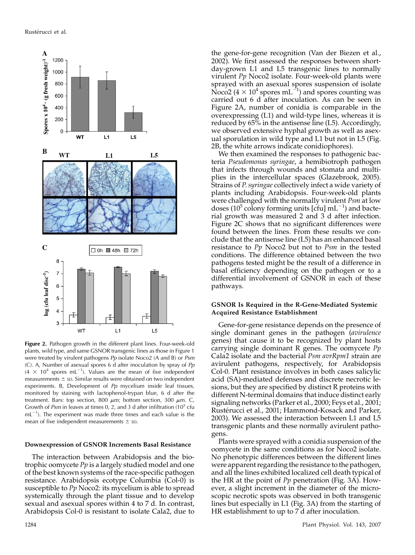

Figure 2. Pathogen growth in the different plant lines. Four-week-old plants, wild type, and same GSNOR transgenic lines as those in Figure 1 were treated by virulent pathogens Pp isolate Noco2 (A and B) or Psm (C). A, Number of asexual spores  $6$  d after inoculation by spray of  $Pp$  $(4 \times 10^4$  spores mL<sup>-1</sup>). Values are the mean of five independent measurements  $\pm$  sp. Similar results were obtained on two independent experiments. B, Development of  $Pp$  mycelium inside leaf tissues, monitored by staining with lactophenol-trypan blue, 6 d after the treatment. Bars: top section, 800  $\mu$ m; bottom section, 300  $\mu$ m. C, Growth of Psm in leaves at times 0, 2, and 3 d after infiltration  $(10^5 \text{ c}$ fu  $mL^{-1}$ ). The experiment was made three times and each value is the mean of five independent measurements  $\pm$  sp.

#### Downexpression of GSNOR Increments Basal Resistance

The interaction between Arabidopsis and the biotrophic oomycete  $Pp$  is a largely studied model and one of the best known systems of the race-specific pathogen resistance. Arabidopsis ecotype Columbia (Col-0) is susceptible to  $Pp$  Noco2: its mycelium is able to spread systemically through the plant tissue and to develop sexual and asexual spores within 4 to 7 d. In contrast, Arabidopsis Col-0 is resistant to isolate Cala2, due to

the gene-for-gene recognition (Van der Biezen et al., 2002). We first assessed the responses between shortday-grown L1 and L5 transgenic lines to normally virulent  $Pp$  Noco2 isolate. Four-week-old plants were sprayed with an asexual spores suspension of isolate Noco2 ( $4 \times 10^4$  spores mL<sup>-1</sup>) and spores counting was carried out 6 d after inoculation. As can be seen in Figure 2A, number of conidia is comparable in the overexpressing (L1) and wild-type lines, whereas it is reduced by 65% in the antisense line (L5). Accordingly, we observed extensive hyphal growth as well as asexual sporulation in wild type and L1 but not in L5 (Fig. 2B, the white arrows indicate conidiophores).

We then examined the responses to pathogenic bacteria Pseudomonas syringae, a hemibiotroph pathogen that infects through wounds and stomata and multiplies in the intercellular spaces (Glazebrook, 2005). Strains of P. syringae collectively infect a wide variety of plants including Arabidopsis. Four-week-old plants were challenged with the normally virulent *Psm* at low doses (10<sup>5</sup> colony forming units [cfu] mL<sup>-1</sup>) and bacterial growth was measured 2 and 3 d after infection. Figure 2C shows that no significant differences were found between the lines. From these results we conclude that the antisense line (L5) has an enhanced basal resistance to Pp Noco2 but not to Psm in the tested conditions. The difference obtained between the two pathogens tested might be the result of a difference in basal efficiency depending on the pathogen or to a differential involvement of GSNOR in each of these pathways.

## GSNOR Is Required in the R-Gene-Mediated Systemic Acquired Resistance Establishment

Gene-for-gene resistance depends on the presence of single dominant genes in the pathogen (avirulence genes) that cause it to be recognized by plant hosts carrying single dominant R genes. The oomycete  $Pp$ Cala2 isolate and the bacterial Psm avrRpm1 strain are avirulent pathogens, respectively, for Arabidopsis Col-0. Plant resistance involves in both cases salicylic acid (SA)-mediated defenses and discrete necrotic lesions, but they are specified by distinct R proteins with different N-terminal domains that induce distinct early signaling networks (Parker et al., 2000; Feys et al., 2001; Rustérucci et al., 2001; Hammond-Kosack and Parker, 2003). We assessed the interaction between L1 and L5 transgenic plants and these normally avirulent pathogens.

Plants were sprayed with a conidia suspension of the oomycete in the same conditions as for Noco2 isolate. No phenotypic differences between the different lines were apparent regarding the resistance to the pathogen, and all the lines exhibited localized cell death typical of the HR at the point of  $Pp$  penetration (Fig. 3A). However, a slight increment in the diameter of the microscopic necrotic spots was observed in both transgenic lines but especially in L1 (Fig. 3A) from the starting of HR establishment to up to 7 d after inoculation.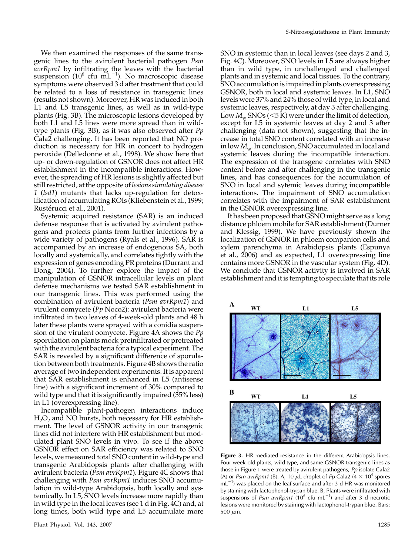We then examined the responses of the same transgenic lines to the avirulent bacterial pathogen Psm avrRpm1 by infiltrating the leaves with the bacterial suspension (10<sup>6</sup> cfu mL<sup>-1</sup>). No macroscopic disease symptoms were observed 3 d after treatment that could be related to a loss of resistance in transgenic lines (results not shown). Moreover, HR was induced in both L1 and L5 transgenic lines, as well as in wild-type plants (Fig. 3B). The microscopic lesions developed by both L1 and L5 lines were more spread than in wildtype plants (Fig. 3B), as it was also observed after Pp Cala2 challenging. It has been reported that NO production is necessary for HR in concert to hydrogen peroxide (Delledonne et al., 1998). We show here that up- or down-regulation of GSNOR does not affect HR establishment in the incompatible interactions. However, the spreading of HR lesions is slightly affected but still restricted, at the opposite of lesions simulating disease 1 (lsd1) mutants that lacks up-regulation for detoxification of accumulating ROIs (Kliebenstein et al., 1999; Rustérucci et al., 2001).

Systemic acquired resistance (SAR) is an induced defense response that is activated by avirulent pathogens and protects plants from further infections by a wide variety of pathogens (Ryals et al., 1996). SAR is accompanied by an increase of endogenous SA, both locally and systemically, and correlates tightly with the expression of genes encoding PR proteins (Durrant and Dong, 2004). To further explore the impact of the manipulation of GSNOR intracellular levels on plant defense mechanisms we tested SAR establishment in our transgenic lines. This was performed using the combination of avirulent bacteria (Psm avrRpm1) and virulent oomycete (Pp Noco2): avirulent bacteria were infiltrated in two leaves of 4-week-old plants and 48 h later these plants were sprayed with a conidia suspension of the virulent oomycete. Figure 4A shows the  $Pp$ sporulation on plants mock preinfiltrated or pretreated with the avirulent bacteria for a typical experiment. The SAR is revealed by a significant difference of sporulation between both treatments. Figure 4B shows the ratio average of two independent experiments. It is apparent that SAR establishment is enhanced in L5 (antisense line) with a significant increment of 30% compared to wild type and that it is significantly impaired (35% less) in L1 (overexpressing line).

Incompatible plant-pathogen interactions induce  $H_2O_2$  and NO bursts, both necessary for HR establishment. The level of GSNOR activity in our transgenic lines did not interfere with HR establishment but modulated plant SNO levels in vivo. To see if the above GSNOR effect on SAR efficiency was related to SNO levels, we measured total SNO content in wild-type and transgenic Arabidopsis plants after challenging with avirulent bacteria ( $\bar{P}$ *sm avrRpm1*). Figure 4C shows that challenging with Psm avrRpm1 induces SNO accumulation in wild-type Arabidopsis, both locally and systemically. In L5, SNO levels increase more rapidly than in wild type in the local leaves (see 1 d in Fig. 4C) and, at long times, both wild type and L5 accumulate more SNO in systemic than in local leaves (see days 2 and 3, Fig. 4C). Moreover, SNO levels in L5 are always higher than in wild type, in unchallenged and challenged plants and in systemic and local tissues. To the contrary, SNO accumulation is impaired in plants overexpressing GSNOR, both in local and systemic leaves. In L1, SNO levels were 37% and 24% those of wild type, in local and systemic leaves, respectively, at day 3 after challenging. Low  $M_{\rm w}$  SNOs ( $\lt$ 5 K) were under the limit of detection, except for L5 in systemic leaves at day 2 and 3 after challenging (data not shown), suggesting that the increase in total SNO content correlated with an increase in low  $M_{w}$ . In conclusion, SNO accumulated in local and systemic leaves during the incompatible interaction. The expression of the transgene correlates with SNO content before and after challenging in the transgenic lines, and has consequences for the accumulation of SNO in local and sytemic leaves during incompatible interactions. The impairment of SNO accumulation correlates with the impairment of SAR establishment in the GSNOR overexpressing line.

It has been proposed that GSNO might serve as a long distance phloem mobile for SAR establishment (Durner and Klessig, 1999). We have previously shown the localization of GSNOR in phloem companion cells and xylem parenchyma in Arabidopsis plants (Espunya et al., 2006) and as expected, L1 overexpressing line contains more GSNOR in the vascular system (Fig. 4D). We conclude that GSNOR activity is involved in SAR establishment and it is tempting to speculate that its role



Figure 3. HR-mediated resistance in the different Arabidopsis lines. Four-week-old plants, wild type, and same GSNOR transgenic lines as those in Figure 1 were treated by avirulent pathogens, Pp isolate Cala2 (A) or Psm avrRpm1 (B). A, 10  $\mu$ L droplet of Pp Cala2 (4  $\times$  10<sup>4</sup> spores  $mL^{-1}$ ) was placed on the leaf surface and after 3 d HR was monitored by staining with lactophenol-trypan blue. B, Plants were infiltrated with suspensions of Psm  $\frac{avRpm1}{10^6}$  cfu mL<sup>-1</sup>) and after 3 d necrotic lesions were monitored by staining with lactophenol-trypan blue. Bars: 500  $\mu$ m.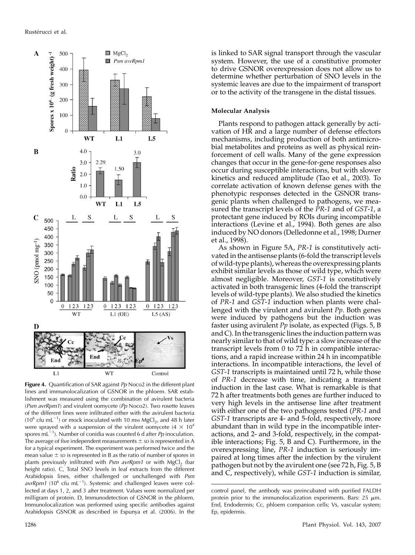

Figure 4. Quantification of SAR against  $Pp$  Noco2 in the different plant lines and immunolocalization of GSNOR in the phloem. SAR establishment was measured using the combination of avirulent bacteria (Psm avrRpm1) and virulent oomycete (Pp Noco2). Two rosette leaves of the different lines were infiltrated either with the avirulent bacteria (10<sup>6</sup> cfu mL<sup>-1</sup>) or mock inoculated with 10 mm MgCl<sub>2</sub>, and 48 h later were sprayed with a suspension of the virulent oomycete (4  $\times$  10<sup>4</sup> spores mL<sup>-1</sup>). Number of conidia was counted 6 d after *Pp* inoculation. The average of five independent measurements  $\pm$  sp is represented in A for a typical experiment. The experiment was performed twice and the mean value  $\pm$  sp is represented in B as the ratio of number of spores in plants previously infiltrated with Psm  $\frac{avRpm1}{}$  or with MgCl<sub>2</sub> (bar height ratio). C, Total SNO levels in leaf extracts from the different Arabidopsis lines, either challenged or unchallenged with Psm  $avrRpm1$  (10<sup>6</sup> cfu mL<sup>-1</sup>). Systemic and challenged leaves were collected at days 1, 2, and 3 after treatment. Values were normalized per milligram of protein. D, Immunodetection of GSNOR in the phloem. Immunolocalization was performed using specific antibodies against Arabidopsis GSNOR as described in Espunya et al. (2006). In the

is linked to SAR signal transport through the vascular system. However, the use of a constitutive promoter to drive GSNOR overexpression does not allow us to determine whether perturbation of SNO levels in the systemic leaves are due to the impairment of transport or to the activity of the transgene in the distal tissues.

#### Molecular Analysis

Plants respond to pathogen attack generally by activation of HR and a large number of defense effectors mechanisms, including production of both antimicrobial metabolites and proteins as well as physical reinforcement of cell walls. Many of the gene expression changes that occur in the gene-for-gene responses also occur during susceptible interactions, but with slower kinetics and reduced amplitude (Tao et al., 2003). To correlate activation of known defense genes with the phenotypic responses detected in the GSNOR transgenic plants when challenged to pathogens, we measured the transcript levels of the PR-1 and of GST-1, a protectant gene induced by ROIs during incompatible interactions (Levine et al., 1994). Both genes are also induced by NO donors (Delledonne et al., 1998; Durner et al., 1998).

As shown in Figure 5A, PR-1 is constitutively activated in the antisense plants (6-fold the transcript levels of wild-type plants), whereas the overexpressing plants exhibit similar levels as those of wild type, which were almost negligible. Moreover, GST-1 is constitutively activated in both transgenic lines (4-fold the transcript levels of wild-type plants). We also studied the kinetics of PR-1 and GST-1 induction when plants were challenged with the virulent and avirulent  $Pp$ . Both genes were induced by pathogens but the induction was faster using avirulent  $Pp$  isolate, as expected (Figs. 5, B and C). In the transgenic lines the induction pattern was nearly similar to that of wild type: a slow increase of the transcript levels from 0 to 72 h in compatible interactions, and a rapid increase within 24 h in incompatible interactions. In incompatible interactions, the level of GST-1 transcripts is maintained until 72 h, while those of PR-1 decrease with time, indicating a transient induction in the last case. What is remarkable is that 72 h after treatments both genes are further induced to very high levels in the antisense line after treatment with either one of the two pathogens tested (PR-1 and GST-1 transcripts are 4- and 5-fold, respectively, more abundant than in wild type in the incompatible interactions, and 2- and 3-fold, respectively, in the compatible interactions; Fig. 5, B and C). Furthermore, in the overexpressing line, PR-1 induction is seriously impaired at long times after the infection by the virulent pathogen but not by the avirulent one (see 72 h, Fig. 5, B and C, respectively), while GST-1 induction is similar,

control panel, the antibody was preincubated with purified FALDH protein prior to the immunolocalization experiments. Bars: 25  $\mu$ m. End, Endodermis; Cc, phloem companion cells; Vs, vascular system; Ep, epidermis.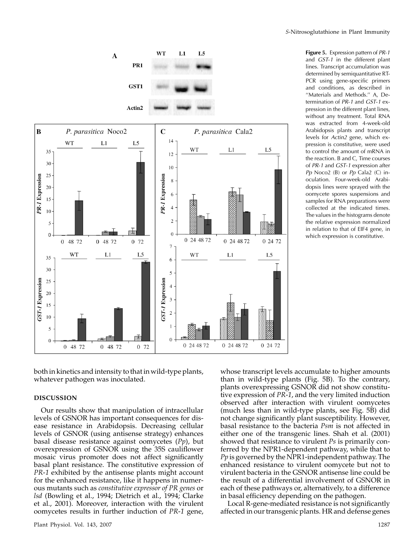

Figure 5. Expression pattern of PR-1 and GST-1 in the different plant lines. Transcript accumulation was determined by semiquantitative RT-PCR using gene-specific primers and conditions, as described in ''Materials and Methods.'' A, Determination of PR-1 and GST-1 expression in the different plant lines, without any treatment. Total RNA was extracted from 4-week-old Arabidopsis plants and transcript levels for Actin2 gene, which expression is constitutive, were used to control the amount of mRNA in the reaction. B and C, Time courses of PR-1 and GST-1 expression after Pp Noco2 (B) or  $Pp$  Cala2 (C) inoculation. Four-week-old Arabidopsis lines were sprayed with the oomycete spores suspensions and samples for RNA preparations were collected at the indicated times. The values in the histograms denote the relative expression normalized in relation to that of EIF4 gene, in which expression is constitutive.

both in kinetics and intensity to that in wild-type plants, whatever pathogen was inoculated.

## DISCUSSION

Our results show that manipulation of intracellular levels of GSNOR has important consequences for disease resistance in Arabidopsis. Decreasing cellular levels of GSNOR (using antisense strategy) enhances basal disease resistance against oomycetes (Pp), but overexpression of GSNOR using the 35S cauliflower mosaic virus promoter does not affect significantly basal plant resistance. The constitutive expression of PR-1 exhibited by the antisense plants might account for the enhanced resistance, like it happens in numerous mutants such as constitutive expressor of PR genes or lsd (Bowling et al., 1994; Dietrich et al., 1994; Clarke et al., 2001). Moreover, interaction with the virulent oomycetes results in further induction of PR-1 gene,

whose transcript levels accumulate to higher amounts than in wild-type plants (Fig. 5B). To the contrary, plants overexpressing GSNOR did not show constitutive expression of PR-1, and the very limited induction observed after interaction with virulent oomycetes (much less than in wild-type plants, see Fig. 5B) did not change significantly plant susceptibility. However, basal resistance to the bacteria Psm is not affected in either one of the transgenic lines. Shah et al. (2001) showed that resistance to virulent Ps is primarily conferred by the NPR1-dependent pathway, while that to  $Pp$  is governed by the NPR1-independent pathway. The enhanced resistance to virulent oomycete but not to virulent bacteria in the GSNOR antisense line could be the result of a differential involvement of GSNOR in each of these pathways or, alternatively, to a difference in basal efficiency depending on the pathogen.

Local R-gene-mediated resistance is not significantly affected in our transgenic plants. HR and defense genes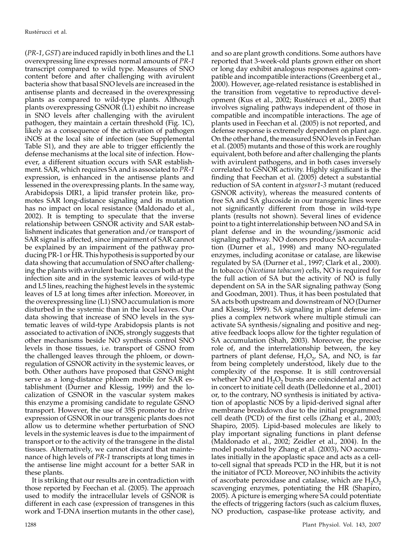(PR-1, GST) are induced rapidly in both lines and the L1 overexpressing line expresses normal amounts of PR-1 transcript compared to wild type. Measures of SNO content before and after challenging with avirulent bacteria show that basal SNO levels are increased in the antisense plants and decreased in the overexpressing plants as compared to wild-type plants. Although plants overexpressing GSNOR (L1) exhibit no increase in SNO levels after challenging with the avirulent pathogen, they maintain a certain threshold (Fig. 1C), likely as a consequence of the activation of pathogen iNOS at the local site of infection (see Supplemental Table S1), and they are able to trigger efficiently the defense mechanisms at the local site of infection. However, a different situation occurs with SAR establishment. SAR, which requires SA and is associated to PR-1 expression, is enhanced in the antisense plants and lessened in the overexpressing plants. In the same way, Arabidopsis DIR1, a lipid transfer protein like, promotes SAR long-distance signaling and its mutation has no impact on local resistance (Maldonado et al., 2002). It is tempting to speculate that the inverse relationship between GSNOR activity and SAR establishment indicates that generation and/or transport of SAR signal is affected, since impairment of SAR cannot be explained by an impairment of the pathway producing PR-1 or HR. This hypothesis is supported by our data showing that accumulation of SNO after challenging the plants with avirulent bacteria occurs both at the infection site and in the systemic leaves of wild-type and L5 lines, reaching the highest levels in the systemic leaves of L5 at long times after infection. Moreover, in the overexpressing line (L1) SNO accumulation is more disturbed in the systemic than in the local leaves. Our data showing that increase of SNO levels in the systematic leaves of wild-type Arabidopsis plants is not associated to activation of iNOS, strongly suggests that other mechanisms beside NO synthesis control SNO levels in those tissues, i.e. transport of GSNO from the challenged leaves through the phloem, or downregulation of GSNOR activity in the systemic leaves, or both. Other authors have proposed that GSNO might serve as a long-distance phloem mobile for SAR establishment (Durner and Klessig, 1999) and the localization of GSNOR in the vascular system makes this enzyme a promising candidate to regulate GSNO transport. However, the use of 35S promoter to drive expression of GSNOR in our transgenic plants does not allow us to determine whether perturbation of SNO levels in the systemic leaves is due to the impairment of transport or to the activity of the transgene in the distal tissues. Alternatively, we cannot discard that maintenance of high levels of PR-1 transcripts at long times in the antisense line might account for a better SAR in these plants.

It is striking that our results are in contradiction with those reported by Feechan et al. (2005). The approach used to modify the intracellular levels of GSNOR is different in each case (expression of transgenes in this work and T-DNA insertion mutants in the other case),

and so are plant growth conditions. Some authors have reported that 3-week-old plants grown either on short or long day exhibit analogous responses against compatible and incompatible interactions (Greenberg et al., 2000). However, age-related resistance is established in the transition from vegetative to reproductive development (Kus et al., 2002; Rustérucci et al., 2005) that involves signaling pathways independent of those in compatible and incompatible interactions. The age of plants used in Feechan et al. (2005) is not reported, and defense response is extremely dependent on plant age. On the other hand, the measured SNO levels in Feechan et al. (2005) mutants and those of this work are roughly equivalent, both before and after challenging the plants with avirulent pathogens, and in both cases inversely correlated to GSNOR activity. Highly significant is the finding that Feechan et al. (2005) detect a substantial reduction of SA content in atgsnor1-3 mutant (reduced GSNOR activity), whereas the measured contents of free SA and SA glucoside in our transgenic lines were not significantly different from those in wild-type plants (results not shown). Several lines of evidence point to a tight interrelationship between NO and SA in plant defense and in the wounding/jasmonic acid signaling pathway. NO donors produce SA accumulation (Durner et al., 1998) and many NO-regulated enzymes, including aconitase or catalase, are likewise regulated by SA (Durner et al., 1997; Clark et al., 2000). In tobacco (Nicotiana tabacum) cells, NO is required for the full action of SA but the activity of NO is fully dependent on SA in the SAR signaling pathway (Song and Goodman, 2001). Thus, it has been postulated that SA acts both upstream and downstream of NO (Durner and Klessig, 1999). SA signaling in plant defense implies a complex network where multiple stimuli can activate SA synthesis/signaling and positive and negative feedback loops allow for the tighter regulation of SA accumulation (Shah, 2003). Moreover, the precise role of, and the interrelationship between, the key partners of plant defense,  $H_2O_2$ , SA, and NO, is far from being completely understood, likely due to the complexity of the response. It is still controversial whether NO and  $H_2O_2$  bursts are coincidental and act in concert to initiate cell death (Delledonne et al., 2001) or, to the contrary, NO synthesis is initiated by activation of apoplastic NOS by a lipid-derived signal after membrane breakdown due to the initial programmed cell death (PCD) of the first cells (Zhang et al., 2003; Shapiro, 2005). Lipid-based molecules are likely to play important signaling functions in plant defense (Maldonado et al., 2002; Zeidler et al., 2004). In the model postulated by Zhang et al. (2003), NO accumulates initially in the apoplastic space and acts as a cellto-cell signal that spreads PCD in the HR, but it is not the initiator of PCD. Moreover, NO inhibits the activity of ascorbate peroxidase and catalase, which are  $H_2O_2$ scavenging enzymes, potentiating the HR (Shapiro, 2005). A picture is emerging where SA could potentiate the effects of triggering factors (such as calcium fluxes, NO production, caspase-like protease activity, and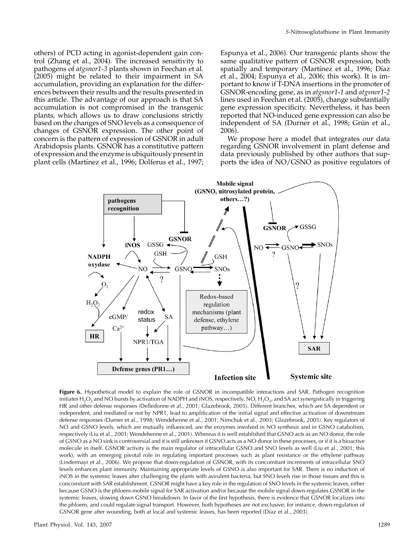others) of PCD acting in agonist-dependent gain control (Zhang et al., 2004). The increased sensitivity to pathogens of atgsnor1-3 plants shown in Feechan et al. (2005) might be related to their impairment in SA accumulation, providing an explanation for the differences between their results and the results presented in this article. The advantage of our approach is that SA accumulation is not compromised in the transgenic plants, which allows us to draw conclusions strictly based on the changes of SNO levels as a consequence of changes of GSNOR expression. The other point of concern is the pattern of expression of GSNOR in adult Arabidopsis plants. GSNOR has a constitutive pattern of expression and the enzyme is ubiquitously present in plant cells (Martínez et al., 1996; Dolferus et al., 1997;

Espunya et al., 2006). Our transgenic plants show the same qualitative pattern of GSNOR expression, both spatially and temporary (Martínez et al., 1996; Díaz et al., 2004; Espunya et al., 2006; this work). It is important to know if T-DNA insertions in the promoter of GSNOR-encoding gene, as in atgsnor1-1 and atgsnor1-2 lines used in Feechan et al. (2005), change substantially gene expression specificity. Nevertheless, it has been reported that NO-induced gene expression can also be independent of SA (Durner et al., 1998; Grün et al., 2006).

We propose here a model that integrates our data regarding GSNOR involvement in plant defense and data previously published by other authors that supports the idea of NO/GSNO as positive regulators of



Figure 6. Hypothetical model to explain the role of GSNOR in incompatible interactions and SAR. Pathogen recognition initiates H<sub>2</sub>O<sub>2</sub> and NO bursts by activation of NADPH and iNOS, respectively. NO, H<sub>2</sub>O<sub>2</sub>, and SA act synergistically in triggering HR and other defense responses (Delledonne et al., 2001; Glazebrook, 2005). Different branches, which are SA dependent or independent, and mediated or not by NPR1, lead to amplification of the initial signal and effective activation of downstream defense responses (Durner et al., 1998; Wendehenne et al., 2001; Nimchuk et al., 2003; Glazebrook, 2005). Key regulators of NO and GSNO levels, which are mutually influenced, are the enzymes involved in NO synthesis and in GSNO catabolism, respectively (Liu et al., 2001; Wendehenne et al., 2001). Whereas it is well established that GSNO acts as an NO donor, the role of GSNO as a NO sink is controversial and it is still unknown if GSNO acts as a NO donor in these processes, or if it is a bioactive molecule in itself. GSNOR activity is the main regulator of intracellular GSNO and SNO levels as well (Liu et al., 2001; this work), with an emerging pivotal role in regulating important processes such as plant resistance or the ethylene pathway (Lindermayr et al., 2006). We propose that down-regulation of GSNOR, with its concomitant increments of intracellular SNO levels enhances plant immunity. Maintaining appropriate levels of GSNO is also important for SAR. There is no induction of iNOS in the systemic leaves after challenging the plants with avirulent bacteria, but SNO levels rise in those tissues and this is concomitant with SAR establishment. GSNOR might have a key role in the regulation of SNO levels in the systemic leaves, either because GSNO is the phloem-mobile signal for SAR activation and/or because the mobile signal down-regulates GSNOR in the systemic leaves, slowing down GSNO breakdown. In favor of the first hypothesis, there is evidence that GSNOR localizes into the phloem, and could regulate signal transport. However, both hypotheses are not exclusive; for instance, down-regulation of GSNOR gene after wounding, both at local and systemic leaves, has been reported (Díaz et al., 2003).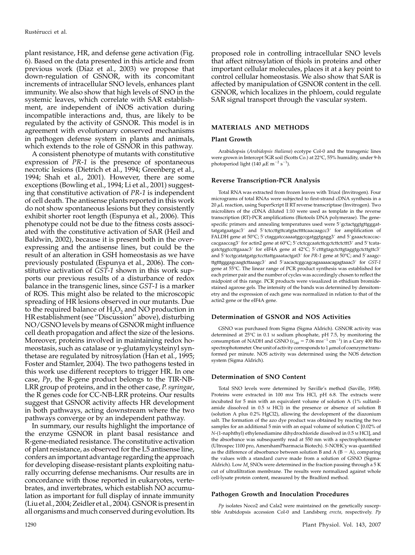plant resistance, HR, and defense gene activation (Fig. 6). Based on the data presented in this article and from previous work (Díaz et al., 2003) we propose that down-regulation of GSNOR, with its concomitant increments of intracellular SNO levels, enhances plant immunity. We also show that high levels of SNO in the systemic leaves, which correlate with SAR establishment, are independent of iNOS activation during incompatible interactions and, thus, are likely to be regulated by the activity of GSNOR. This model is in agreement with evolutionary conserved mechanisms in pathogen defense system in plants and animals, which extends to the role of GSNOR in this pathway.

A consistent phenotype of mutants with constitutive expression of PR-1 is the presence of spontaneous necrotic lesions (Dietrich et al., 1994; Greenberg et al., 1994; Shah et al., 2001). However, there are some exceptions (Bowling et al., 1994; Li et al., 2001) suggesting that constitutive activation of PR-1 is independent of cell death. The antisense plants reported in this work do not show spontaneous lesions but they consistently exhibit shorter root length (Espunya et al., 2006). This phenotype could not be due to the fitness costs associated with the constitutive activation of SAR (Heil and Baldwin, 2002), because it is present both in the overexpressing and the antisense lines, but could be the result of an alteration in GSH homeostasis as we have previously postulated (Espunya et al., 2006). The constitutive activation of GST-1 shown in this work supports our previous results of a disturbance of redox balance in the transgenic lines, since GST-1 is a marker of ROS. This might also be related to the microscopic spreading of HR lesions observed in our mutants. Due to the required balance of  $H_2O_2$  and NO production in HR establishment (see ''Discussion'' above), disturbing NO/GSNO levels by means of GSNOR might influence cell death propagation and affect the size of the lesions. Moreover, proteins involved in maintaining redox homeostasis, such as catalase or  $\gamma$ -glutamylcysteinyl synthetase are regulated by nitrosylation (Han et al., 1995; Foster and Stamler, 2004). The two pathogens tested in this work use different receptors to trigger HR. In one case,  $Pp$ , the R-gene product belongs to the TIR-NB-LRR group of proteins, and in the other case, P. syringae, the R genes code for CC-NB-LRR proteins. Our results suggest that GSNOR activity affects HR development in both pathways, acting downstream where the two pathways converge or by an independent pathway.

In summary, our results highlight the importance of the enzyme GSNOR in plant basal resistance and R-gene-mediated resistance. The constitutive activation of plant resistance, as observed for the L5 antisense line, confers an important advantage regarding the approach for developing disease-resistant plants exploiting naturally occurring defense mechanisms. Our results are in concordance with those reported in eukaryotes, vertebrates, and invertebrates, which establish NO accumulation as important for full display of innate immunity (Liu et al., 2004; Zeidler et al., 2004). GSNOR is present in all organisms and much conserved during evolution. Its

proposed role in controlling intracellular SNO levels that affect nitrosylation of thiols in proteins and other important cellular molecules, places it at a key point to control cellular homeostasis. We also show that SAR is affected by manipulation of GSNOR content in the cell. GSNOR, which localizes in the phloem, could regulate SAR signal transport through the vascular system.

## MATERIALS AND METHODS

#### Plant Growth

Arabidopsis (Arabidopsis thaliana) ecotype Col-0 and the transgenic lines were grown in Intercept 5GR soil (Scotts Co.) at 22°C, 55% humidity, under 9-h photoperiod light (140  $\mu$ E m<sup>-2</sup> s<sup>-1</sup>).

#### Reverse Transcription-PCR Analysis

Total RNA was extracted from frozen leaves with Trizol (Invitrogen). Four micrograms of total RNAs were subjected to first-strand cDNA synthesis in a  $20 \mu$ L reaction, using SuperScript II RT reverse transcriptase (Invitrogen). Two microliters of the cDNA diluted 1:10 were used as template in the reverse transcription (RT)-PCR amplifications (Biotools DNA polymerase). The genespecific primers and annealing temperatures used were 5' gctactggtgttgggattatgatgaatgac3' and 5'tctccttgttcatgtacttttcaacaagcc3' for amplification of FALDH gene at  $50^{\circ}$ C;  $5'$  ctaggatccaaaatggccgatggtgagg3' and  $5'$ gaaactcaccaccacgaaccag3' for actin2 gene at 60°C; 5' ctctcgcaatcttcgctcttctcttt3' and 5' tcatagatctggtccttgaaac3' for eIF4A gene at 42°C; 5' ctttgtagctcttgtaggtgctcttgttc3' and 5'tcctgcatatgatgctccttattgaaatactgat3' for PR-1 gene at  $50^{\circ}$ C; and 5'aaagcttgtttgggagcaagtcttaaagc3' and 5'aacactcggcagcagaaaaacagagtaaac3' for GST-1 gene at 55C. The linear range of PCR product synthesis was established for each primer pair and the number of cycles was accordingly chosen to reflect the midpoint of this range. PCR products were visualized in ethidium bromidestained agarose gels. The intensity of the bands was determined by densitometry and the expression of each gene was normalized in relation to that of the actin2 gene or the eIF4A gene.

#### Determination of GSNOR and NOS Activities

GSNO was purchased from Sigma (Sigma Aldrich). GSNOR activity was determined at  $25^{\circ}$ C in 0.1 M sodium phosphate, pH 7.5, by monitoring the consumption of NADH and GSNO ( $\varepsilon_{340} = 7.06$  mm<sup>-1</sup> cm<sup>-1</sup>) in a Cary 400 Bio spectrophotometer. One unit of activity corresponds to  $1 \mu$ mol of coenzyme transformed per minute. NOS activity was determined using the NOS detection system (Sigma Aldrich).

#### Determination of SNO Content

Total SNO levels were determined by Saville's method (Saville, 1958). Proteins were extracted in 100 mm Tris HCl, pH 6.8. The extracts were incubated for 5 min with an equivalent volume of solution A (1% sulfanilamide dissolved in 0.5 M HCl) in the presence or absence of solution B (solution A plus 0.2% HgCl2), allowing the development of the diazonium salt. The formation of the azo dye product was obtained by reacting the two samples for an additional 5 min with an equal volume of solution C [0.02% of N-(1-naphthyl) ethylenediamine dihydrochloride dissolved in 0.5 M HCl], and the absorbance was subsequently read at 550 nm with a spectrophotometer (Ultrospec 1100 pro, AmershamPharmacia Biotech). S-NOHCy was quantified as the difference of absorbance between solution B and A (B  $-$  A), comparing the values with a standard curve made from a solution of GSNO (Sigma-Aldrich). Low  $M_r$  SNOs were determined in the fraction passing through a 5 K cut of ultrafiltration membrane. The results were normalized against whole cell-lysate protein content, measured by the Bradford method.

#### Pathogen Growth and Inoculation Procedures

 $Pp$  isolates Noco2 and Cala2 were maintained on the genetically susceptible Arabidopsis accession Col-0 and Landsberg erecta, respectively. Pp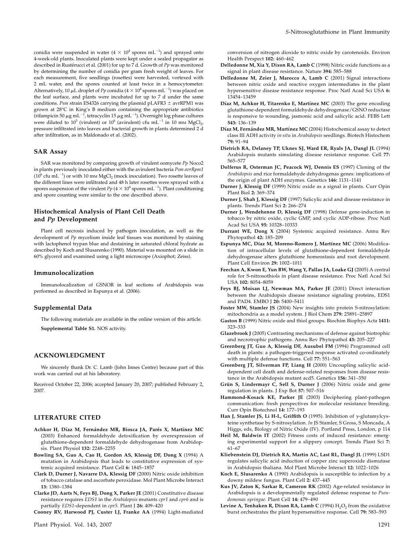conidia were suspended in water (4  $\times$   $10^4$  spores mL<sup>-1</sup>) and sprayed onto 4-week-old plants. Inoculated plants were kept under a sealed propagator as described in Rustérucci et al. (2001) for up to 7 d. Growth of  $Pp$  was monitored by determining the number of conidia per gram fresh weight of leaves. For each measurement, five seedlings (rosettes) were harvested, vortexed with 2 mL water, and the spores counted at least twice in a hemocytometer. Alternatively, 10  $\mu$ L droplet of Pp conidia (4  $\times$  10<sup>4</sup> spores mL<sup>-1</sup>) was placed on the leaf surface, and plants were incubated for up to 7 d under the same conditions. Psm strain ES4326 carrying the plasmid pLAFR3  $\pm$  avrRPM1 was grown at 28°C in King's B medium containing the appropriate antibiotics (rifampicin 50  $\mu$ g mL<sup>-1</sup>, tetracyclin 15  $\mu$ g mL<sup>-1</sup>). Overnight log phase cultures were diluted to  $10^5$  (virulent) or  $10^6$  (avirulent) cfu mL<sup>-1</sup> in 10 mm MgCl<sub>2</sub>, pressure infiltrated into leaves and bacterial growth in plants determined 2 d after infiltration, as in Maldonado et al. (2002).

#### SAR Assay

SAR was monitored by comparing growth of virulent oomycete Pp Noco2 in plants previously inoculated either with the avirulent bacteria Psm avrRpm1 ( $10^6$  cfu mL<sup>-1</sup>) or with 10 mm MgCl<sub>2</sub> (mock inoculation). Two rosette leaves of the different lines were infiltrated and 48 h later rosettes were sprayed with a spores suspension of the virulent  $Pp$  (4  $\times$  10<sup>4</sup> spores mL $^{-1}$ ). Plant conditioning and spore counting were similar to the one described above.

## Histochemical Analysis of Plant Cell Death and Pp Development

Plant cell necrosis induced by pathogen inoculation, as well as the development of Pp mycelium inside leaf tissues was monitored by staining with lactophenol trypan blue and destaining in saturated chloral hydrate as described by Koch and Slusarenko (1990). Material was mounted on a slide in 60% glycerol and examined using a light microscope (Axiophot; Zeiss).

#### Immunolocalization

Immunolocalization of GSNOR in leaf sections of Arabidopsis was performed as described in Espunya et al. (2006).

#### Supplemental Data

The following materials are available in the online version of this article. Supplemental Table S1. NOS activity.

#### ACKNOWLEDGMENT

We sincerely thank Dr. C. Lamb (John Innes Centre) because part of this work was carried out at his laboratory.

Received October 22, 2006; accepted January 20, 2007; published February 2, 2007.

#### LITERATURE CITED

- Achkor H, Díaz M, Fernández MR, Biosca JA, Parés X, Martínez MC (2003) Enhanced formaldehyde detoxification by overexpression of glutathione-dependent formaldehyde dehydrogenase from Arabidopsis. Plant Physiol 132: 2248–2255
- Bowling SA, Guo A, Cao H, Gordon AS, Klessig DF, Dong X (1994) A mutation in Arabidopsis that leads to constitutive expression of systemic acquired resistance. Plant Cell 6: 1845–1857
- Clark D, Durner J, Navarre DA, Klessig DF (2000) Nitric oxide inhibition of tobacco catalase and ascorbate peroxidase. Mol Plant Microbe Interact 13: 1380–1384
- Clarke JD, Aarts N, Feys BJ, Dong X, Parker JE (2001) Constitutive disease resistance requires EDS1 in the Arabidopsis mutants cpr1 and cpr6 and is partially EDS1-dependent in cpr5. Plant J 26: 409–420

Cooney RV, Harwood PJ, Custer LJ, Franke AA (1994) Light-mediated

conversion of nitrogen dioxide to nitric oxide by carotenoids. Environ Health Perspect 102: 460–462

- Delledonne M, Xia Y, Dixon RA, Lamb C (1998) Nitric oxide functions as a signal in plant disease resistance. Nature 394: 585–588
- Delledonne M, Zeier J, Marocco A, Lamb C (2001) Signal interactions between nitric oxide and reactive oxygen intermediates in the plant hypersensitive disease resistance response. Proc Natl Acad Sci USA 6: 13454–13459
- Díaz M, Achkor H, Titarenko E, Martínez MC (2003) The gene encoding glutathione-dependent formaldehyde dehydrogenase/GSNO reductase is responsive to wounding, jasmonic acid and salicylic acid. FEBS Lett 543: 136–139
- Díaz M, Fernández MR, Martínez MC (2004) Histochemical assay to detect class III ADH activity in situ in Arabidopsis seedlings. Biotech Histochem 79: 91–94
- Dietrich RA, Delaney TP, Uknes SJ, Ward ER, Ryals JA, Dangl JL (1994) Arabidopsis mutants simulating disease resistance response. Cell 77: 565–577
- Dolferus R, Osterman JC, Peacock WJ, Dennis ES (1997) Cloning of the Arabidopsis and rice formaldehyde dehydrogenas genes: implications of the origin of plant ADH enzymes. Genetics 146: 1131–1141
- Durner J, Klessig DF (1999) Nitric oxide as a signal in plants. Curr Opin Plant Biol 2: 369–374
- Durner J, Shah J, Klessig DF (1997) Salicylic acid and disease resistance in plants. Trends Plant Sci 2: 266–274
- Durner J, Wendehenne D, Klessig DF (1998) Defense gene-induction in tobacco by nitric oxide, cyclic GMP, and cyclic ADP-ribose. Proc Natl Acad Sci USA 95: 10328–10333
- Durrant WE, Dong X (2004) Systemic acquired resistance. Annu Rev Phytopathol 42: 185–209
- Espunya MC, Díaz M, Moreno-Romero J, Martínez MC (2006) Modification of intracellular levels of glutathione-dependent formaldehyde dehydrogenase alters glutathione homeostasis and root development. Plant Cell Environ 29: 1002–1011
- Feechan A, Kwon E, Yun BW, Wang Y, Pallas JA, Loake GJ (2005) A central role for S-nitrosothiols in plant disease resistance. Proc Natl Acad Sci USA 102: 8054–8059
- Feys BJ, Moisan LJ, Newman MA, Parker JE (2001) Direct interaction between the Arabidopsis disease resistance signaling proteins, EDS1 and PAD4. EMBO J 20: 5400–5411
- Foster MW, Stamler JS (2004) New insights into protein S-nitrosylation: mitochondria as a model system. J Biol Chem 279: 25891–25897
- Gaston B (1999) Nitric oxide and thiol groups. Biochim Biophys Acta 1411: 323–333
- Glazebrook J (2005) Contrasting mechanisms of defense against biotrophic and necrotrophic pathogens. Annu Rev Phytopathol 43: 205–227
- Greenberg JT, Guo A, Klessig DF, Ausubel FM (1994) Programmed cell death in plants: a pathogen-triggered response activated co-ordinately with multiple defense functions. Cell 77: 551–563
- Greenberg JT, Silverman FP, Liang H (2000) Uncoupling salicylic aciddependent cell death and defense-related responses from disease resistance in the Arabidopsis mutant acd5. Genetics 156: 341–350
- Grün S, Lindermayr C, Sell S, Durner J (2006) Nitric oxide and gene regulation in plants. J Exp Bot 57: 507–516
- Hammond-Kosack KE, Parker JE (2003) Deciphering plant-pathogen communication: fresh perspectives for molecular resistance breeding. Curr Opin Biotechnol 14: 177–193
- Han J, Stamler JS, Li H-L, Griffith O (1995). Inhibition of  $\gamma$ -glutamylcysteine synthetase by S-nitrosylation. In JS Stamler, S Gross, S Moncada, A Higgs, eds, Biology of Nitric Oxide (IV). Portland Press, London, p 114
- Heil M, Baldwin IT (2002) Fitness costs of induced resistance: emerging experimental support for a slippery concept. Trends Plant Sci 7: 61–67
- Kliebenstein DJ, Dietrich RA, Martin AC, Last RL, Dangl JL (1999) LSD1 regulates salicylic acid induction of copper zinc superoxide dismutase in Arabidopsis thaliana. Mol Plant Microbe Interact 12: 1022–1026
- Koch E, Slusarenko A (1990) Arabidopsis is susceptible to infection by a downy mildew fungus. Plant Cell 2: 437–445
- Kus JV, Zaton K, Sarkar R, Cameron RK (2002) Age-related resistance in Arabidopsis is a developmentally regulated defense response to Pseudomonas syringae. Plant Cell 14: 479–490
- Levine A, Tenhaken R, Dixon RA, Lamb C (1994)  $\text{H}_{2}\text{O}_{2}$  from the oxidative burst orchestrates the plant hypersensitive response. Cell 79: 583–593